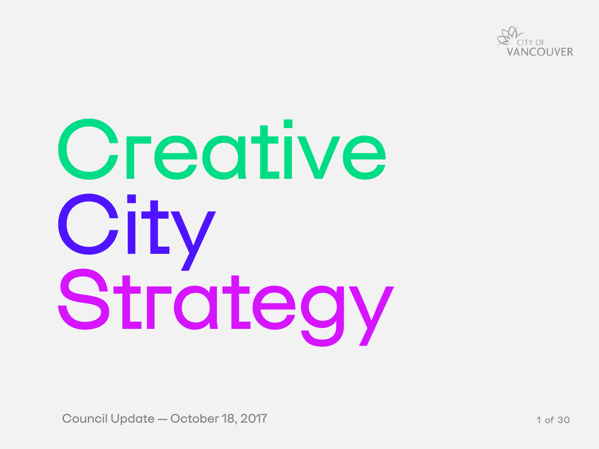# **Creative** City<br>Strategy

Council Update —October 18, 2017



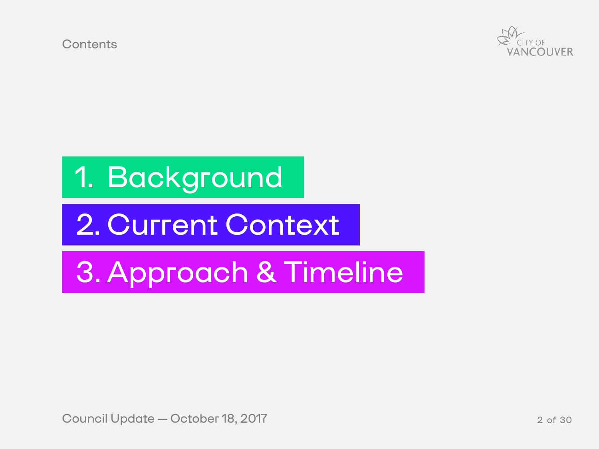**Contents** 

# 1. Background

# 2. Current Context

# 3. Approach & Timeline

Council Update — October 18, 2017 **2** of 30



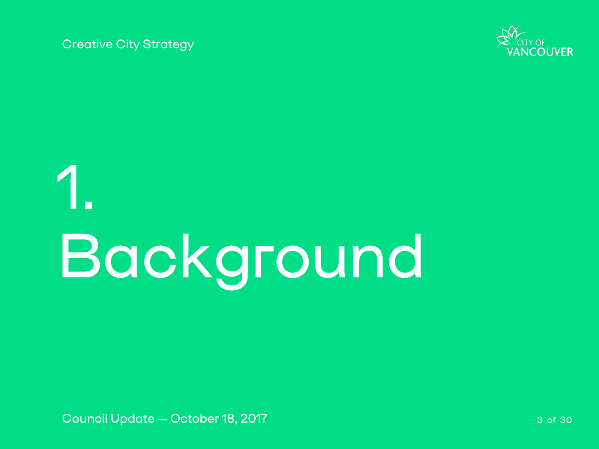# 1. Background

Council Update — October 18, 2017 **3 of 30** and 3 of 30



Creative City Strategy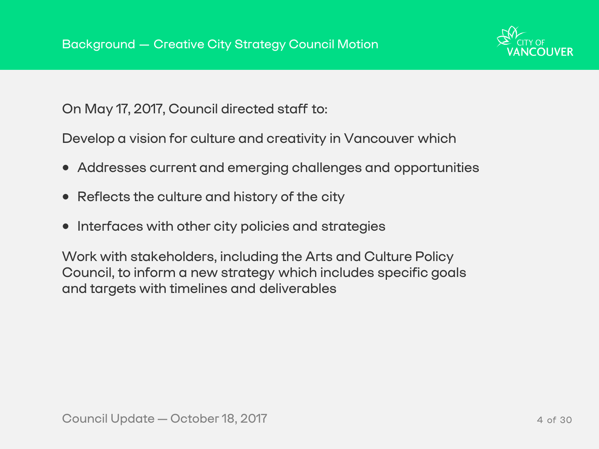- Addresses current and emerging challenges and opportunities
- Reflects the culture and history of the city
- Interfaces with other city policies and strategies

On May 17, 2017, Council directed staff to:

Develop a vision for culture and creativity in Vancouver which

Work with stakeholders, including the Arts and Culture Policy Council, to inform a new strategy which includes specific goals and targets with timelines and deliverables



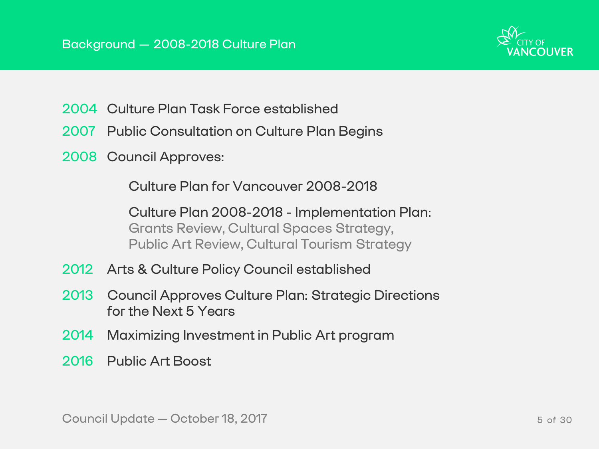- 2004 Culture Plan Task Force established
- 2007 Public Consultation on Culture Plan Begins
- 2008 Council Approves:

Culture Plan for Vancouver 2008-2018

Culture Plan 2008-2018 - Implementation Plan: Grants Review, Cultural Spaces Strategy, Public Art Review, Cultural Tourism Strategy

- 2012 Arts & Culture Policy Council established
- 2013 Council Approves Culture Plan: Strategic Directions for the Next 5 Years
- 2014 Maximizing Investment in Public Art program
- 2016 Public Art Boost

Council Update — October 18, 2017 **5 of 30** S of 30

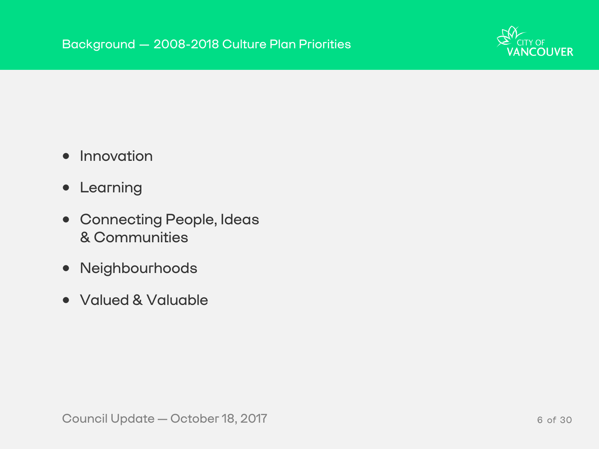Council Update—October 18, 2017 6 of 30



- Innovation
- Learning
- Connecting People, Ideas & Communities
- Neighbourhoods
- Valued & Valuable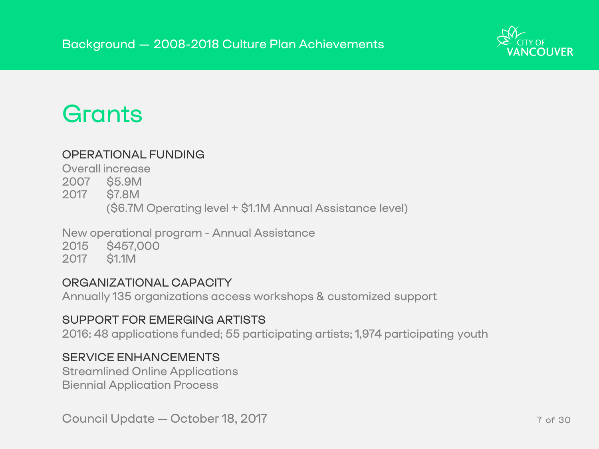### Grants

### OPERATIONAL FUNDING

Overall increase

- 2007 \$5.9M
- 2017 \$7.8M

(\$6.7M Operating level + \$1.1M Annual Assistance level)

New operational program - Annual Assistance

2015 \$457,000

2017 \$1.1M

### ORGANIZATIONAL CAPACITY

Annually 135 organizations access workshops & customized support

### SUPPORT FOR EMERGING ARTISTS

2016: 48 applications funded; 55 participating artists; 1,974 participating youth

### SERVICE ENHANCEMENTS

Streamlined Online Applications Biennial Application Process

Council Update — October 18, 2017 **7 October 18, 2017** 7 of 30



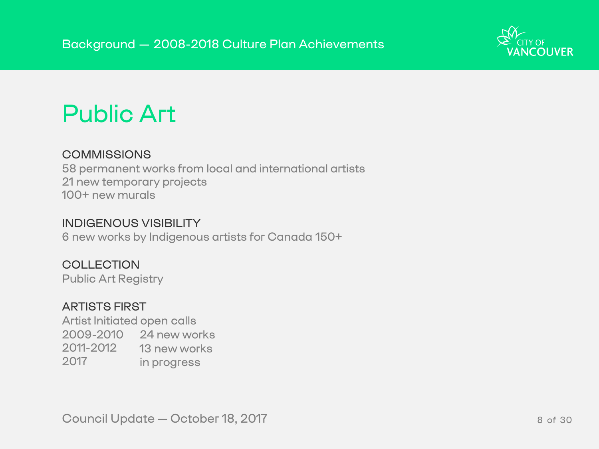### Public Art

### **COMMISSIONS**

58 permanent works from local and international artists 21 new temporary projects 100+ new murals

### INDIGENOUS VISIBILITY

6 new works by Indigenous artists for Canada 150+

**COLLECTION** 

Public Art Registry

### ARTISTS FIRST

Artist Initiated open calls 2009-2010 24 new works 2011-2012 13 new works 2017 in progress

Council Update — October 18, 2017 8 and 19 and 19 and 19 and 19 and 19 and 19 and 19 and 19 and 19 and 19 and 1



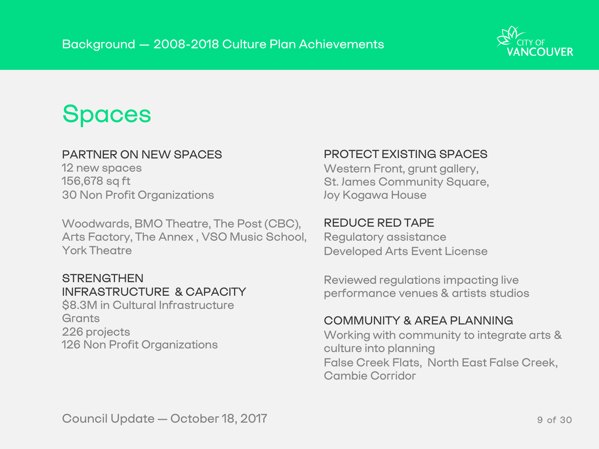### Spaces

### PARTNER ON NEW SPACES

12 new spaces 156,678 sq ft 30 Non Profit Organizations

**STRENGTHEN** INFRASTRUCTURE & CAPACITY \$8.3M in Cultural Infrastructure **Grants** 226 projects 126 Non Profit Organizations

Woodwards, BMO Theatre, The Post (CBC), Arts Factory, The Annex , VSO Music School, York Theatre

Western Front, grunt gallery, St. James Community Square, Joy Kogawa House

### PROTECT EXISTING SPACES

### REDUCE RED TAPE

Regulatory assistance Developed Arts Event License

Reviewed regulations impacting live performance venues & artists studios

### COMMUNITY & AREA PLANNING

Working with community to integrate arts & culture into planning False Creek Flats, North East False Creek, Cambie Corridor

Council Update — October 18, 2017 **9 of 30** 

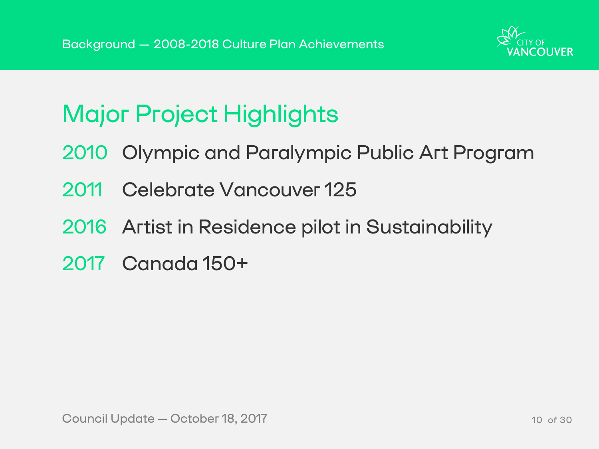- 2010 Olympic and Paralympic Public Art Program
- 2011 Celebrate Vancouver 125
- 2016 Artist in Residence pilot in Sustainability
- 2017 Canada 150+

Council Update — October 18, 2017 10 and 10 and 10 of 30





# Major Project Highlights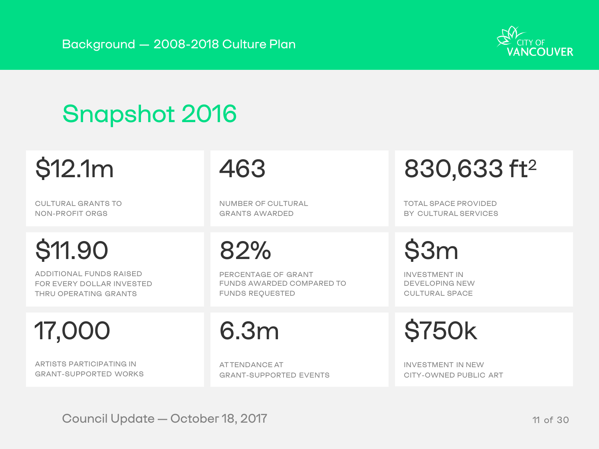### Background — 2008-2018 Culture Plan

# Snapshot 2016

# \$12.1m

CULTURAL GRANTS TO NON-PROFIT ORGS

# \$11.90

ADDITIONAL FUNDS RAISED FOR EVERY DOLLAR INVESTED THRU OPERATING GRANTS

# 17,000

ARTISTS PARTICIPATING IN GRANT-SUPPORTED WORKS



INVESTMENT IN DEVELOPING NEW CULTURAL SPACE

\$750k

INVESTMENT IN NEW CITY-OWNED PUBLIC ART

### 82%

PERCENTAGE OF GRANT FUNDS AWARDED COMPARED TO FUNDS REQUESTED

## 6.3m

AT TENDANCE AT GRANT-SUPPORTED EVENTS

Council Update — October 18, 2017 11 of 30



### 463

NUMBER OF CULTURAL GRANTS AWARDED

# 830,633 ft2

TOTAL SPACE PROVIDED BY CULTURAL SERVICES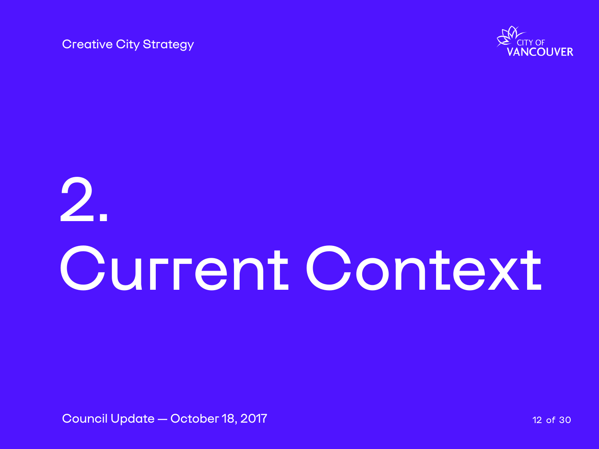# 2. Current Context

Council Update — October 18, 2017 12 12 12 06 30



Creative City Strategy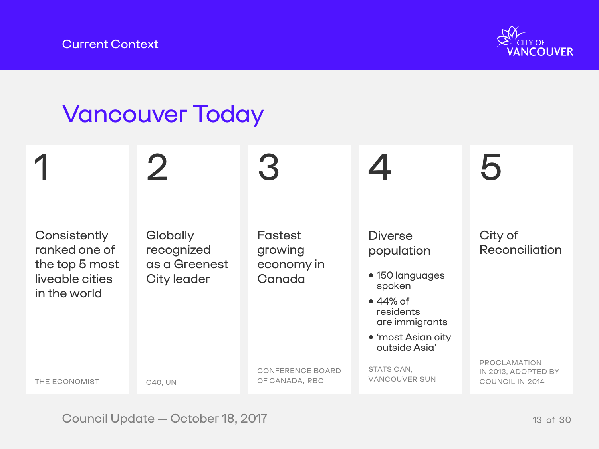### Current Context

### City of **Reconciliation**

- 150 languages
	-
	- are immigrants
- 'most Asian city outside Asia'

 $\blacksquare$ **Consistently** ranked one of the top 5 most liveable cities in the world THE ECONOMIST 4 **Diverse** population spoken • 44% of residents STATS CAN, VANCOUVER SUN 2 **Globally** recognized as a Greenest City leader C40, UN 3 Fastest growing economy in **Canada** CONFERENCE BOARD OF CANADA, RBC

Council Update — October 18, 2017 13 of 30



# 5

PROCLAMATION IN 2013, ADOPTED BY COUNCIL IN 2014

### Vancouver Today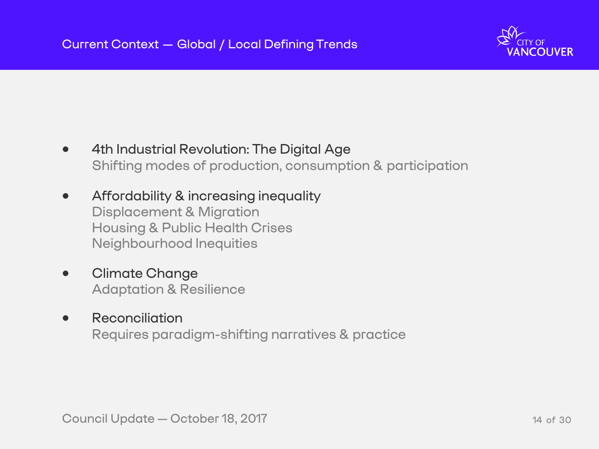- 4th Industrial Revolution: The Digital Age Shifting modes of production, consumption & participation
- Affordability & increasing inequality Displacement & Migration Housing & Public Health Crises Neighbourhood Inequities
- Climate Change Adaptation & Resilience
- Reconciliation Requires paradigm-shifting narratives & practice

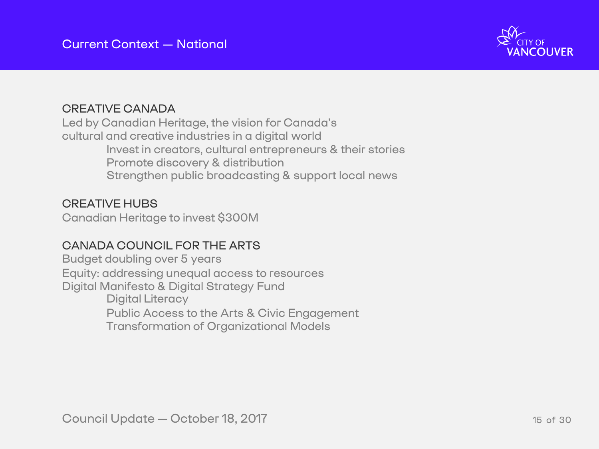### CREATIVE CANADA

Led by Canadian Heritage, the vision for Canada's cultural and creative industries in a digital world Invest in creators, cultural entrepreneurs & their stories Promote discovery & distribution Strengthen public broadcasting & support local news

### CREATIVE HUBS

Canadian Heritage to invest \$300M

### CANADA COUNCIL FOR THE ARTS

Budget doubling over 5 years Equity: addressing unequal access to resources Digital Manifesto & Digital Strategy Fund Digital Literacy Public Access to the Arts & Civic Engagement Transformation of Organizational Models

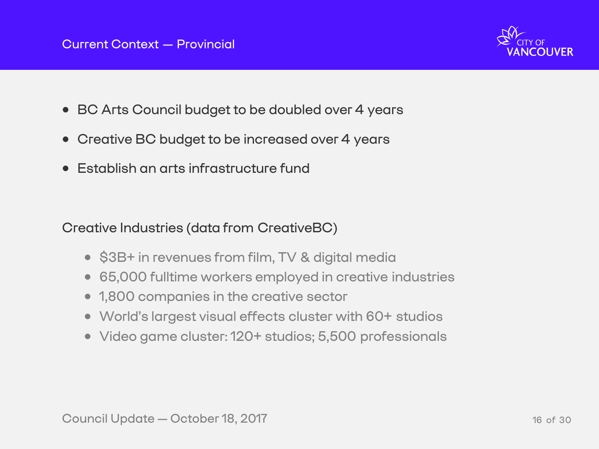- BC Arts Council budget to be doubled over 4 years
- Creative BC budget to be increased over 4 years
- Establish an arts infrastructure fund

### Creative Industries (data from CreativeBC)

- \$3B+ in revenues from film, TV & digital media
- 65,000 fulltime workers employed in creative industries
- 1,800 companies in the creative sector
- World's largest visual effects cluster with 60+ studios
- Video game cluster: 120+ studios; 5,500 professionals

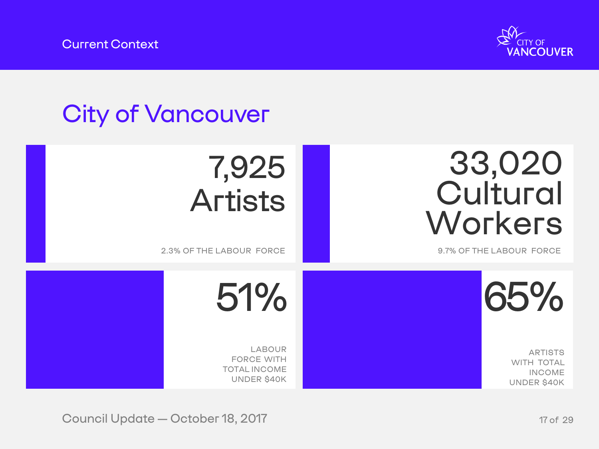Current Context

## City of Vancouver

# 7,925 Artists

2.3% OF THE LABOUR FORCE

LABOUR FORCE WITH TOTAL INCOME UNDER \$40K

Council Update — October 18, 2017 17 of 29





ARTISTS WITH TOTAL INCOME UNDER \$40K

# 33,020 Cultural Workers

### 9.7% OF THE LABOUR FORCE

51%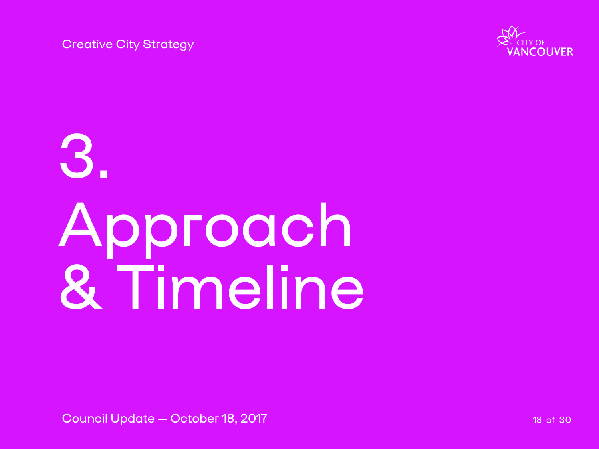# 3. Approach & Timeline

Council Update — October 18, 2017 18 and 2017 18 of 30



Creative City Strategy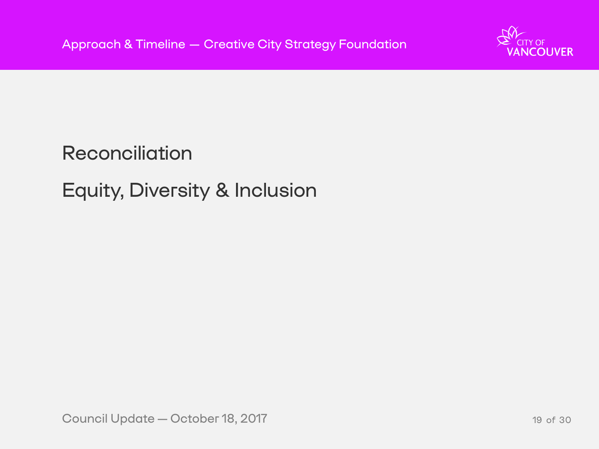Council Update—October 18, 2017 19 of 30



# Reconciliation Equity, Diversity & Inclusion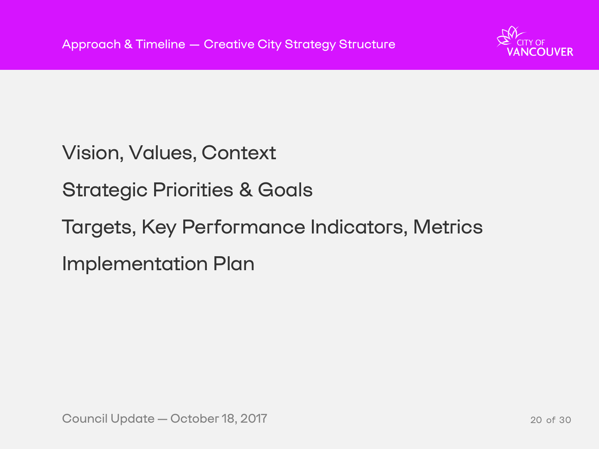Vision, Values, Context Strategic Priorities & Goals Targets, Key Performance Indicators, Metrics Implementation Plan

Council Update — October 18, 2017 20 12 20 130

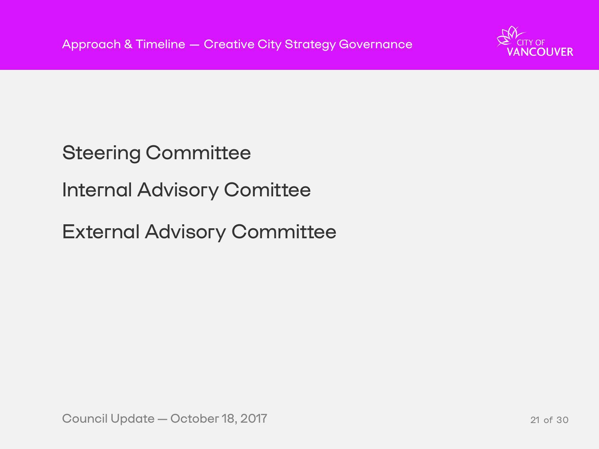# Steering Committee Internal Advisory Comittee External Advisory Committee

Council Update — October 18, 2017 21 of 30

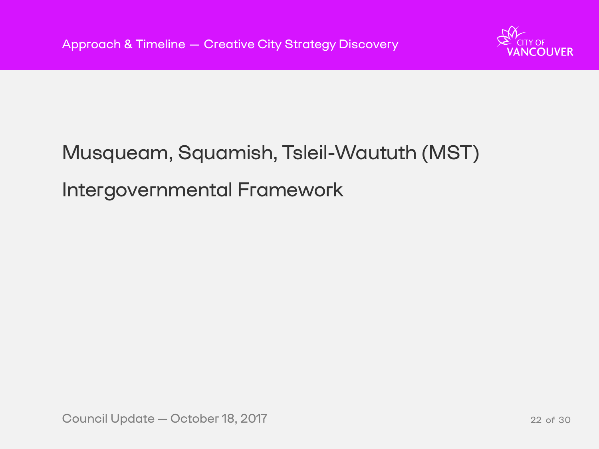# Musqueam, Squamish, Tsleil-Waututh (MST) Intergovernmental Framework

Council Update — October 18, 2017 22 of 30



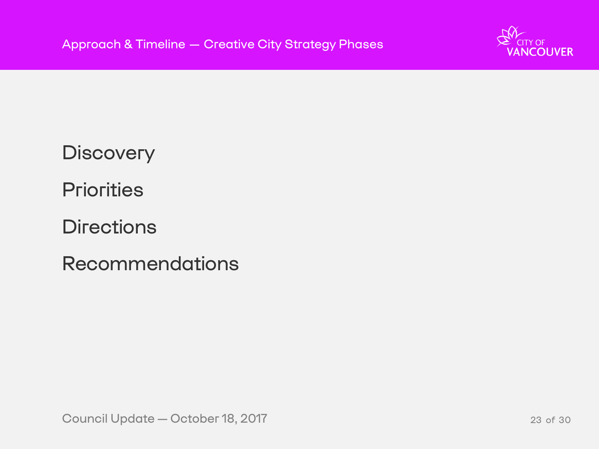**Discovery Priorities Directions** Recommendations

Council Update — October 18, 2017 23 of 30



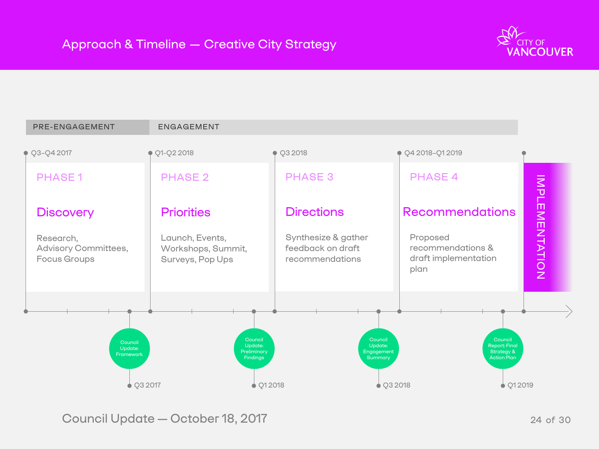

Council Update — October 18, 2017 **24 Decision 19 and 24 October 18**, 2017

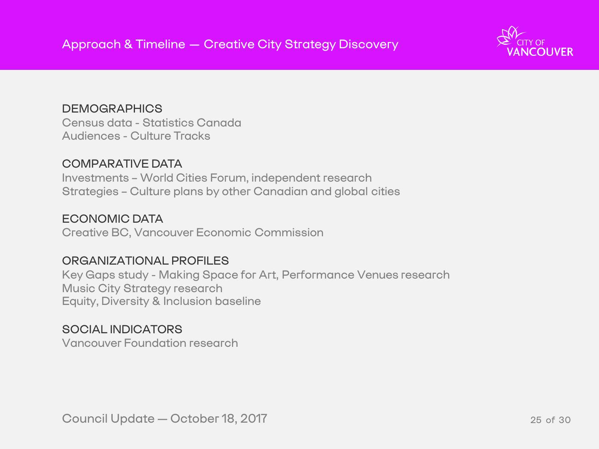**DEMOGRAPHICS** Census data - Statistics Canada Audiences - Culture Tracks

### COMPARATIVE DATA

Investments – World Cities Forum, independent research Strategies – Culture plans by other Canadian and global cities

ECONOMIC DATA Creative BC, Vancouver Economic Commission

### ORGANIZATIONAL PROFILES

Key Gaps study - Making Space for Art, Performance Venues research Music City Strategy research Equity, Diversity & Inclusion baseline

SOCIAL INDICATORS Vancouver Foundation research

Council Update—October 18, 2017 25 of 30



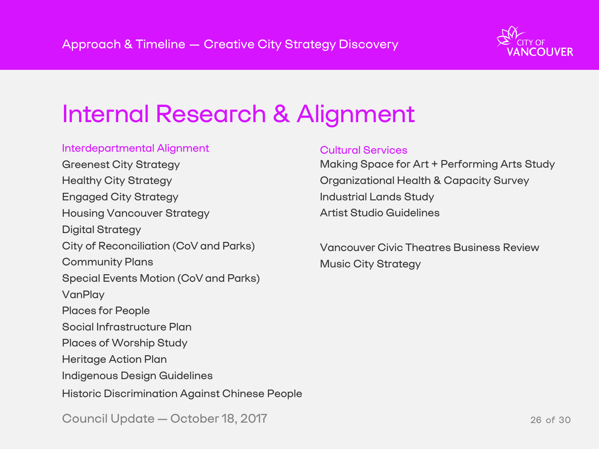# Internal Research & Alignment

| <b>Interdepartmental Alignment</b>                    |
|-------------------------------------------------------|
| <b>Greenest City Strategy</b>                         |
| <b>Healthy City Strategy</b>                          |
| <b>Engaged City Strategy</b>                          |
| <b>Housing Vancouver Strategy</b>                     |
| <b>Digital Strategy</b>                               |
| <b>City of Reconciliation (CoV and Parks)</b>         |
| <b>Community Plans</b>                                |
| <b>Special Events Motion (CoV and Parks)</b>          |
| VanPlay                                               |
| <b>Places for People</b>                              |
| Social Infrastructure Plan                            |
| <b>Places of Worship Study</b>                        |
| Heritage Action Plan                                  |
| <b>Indigenous Design Guidelines</b>                   |
| <b>Historic Discrimination Against Chinese People</b> |
|                                                       |

Council Update — October 18, 2017 26 and 20 and 20 and 26 of 30



### Cultural Services

- Making Space for Art + Performing Arts Study Organizational Health & Capacity Survey
- Industrial Lands Study
- Artist Studio Guidelines
- Vancouver Civic Theatres Business Review Music City Strategy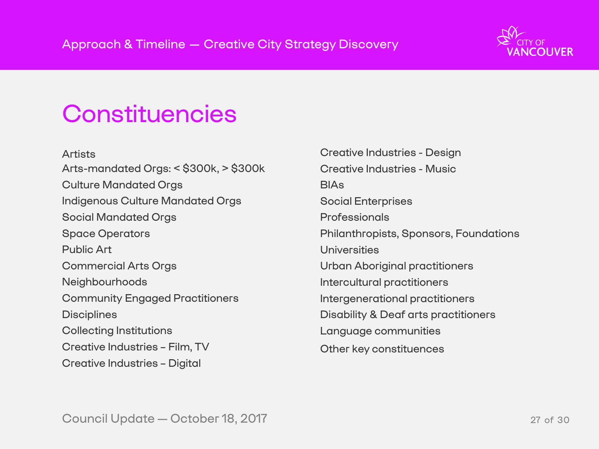Council Update—October 18, 2017 27 of 30



### Constituencies

Artists Arts-mandated Orgs: < \$300k, > \$300k Culture Mandated Orgs Indigenous Culture Mandated Orgs Social Mandated Orgs Space Operators Public Art Commercial Arts Orgs **Neighbourhoods** Community Engaged Practitioners **Disciplines** Collecting Institutions Creative Industries – Film, TV Creative Industries – Digital

BIAs Social Enterprises **Professionals** Universities

- Creative Industries Design
- Creative Industries Music
	-
	-
- Philanthropists, Sponsors, Foundations
	-
- Urban Aboriginal practitioners
- Intercultural practitioners
- Intergenerational practitioners
- Disability & Deaf arts practitioners
- Language communities
- Other key constituences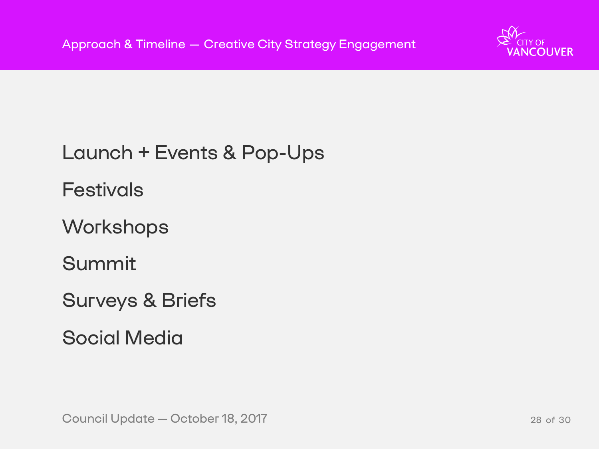# Launch + Events & Pop-Ups Festivals **Workshops** Summit Surveys & Briefs Social Media

Council Update — October 18, 2017 28 and 28 of 30

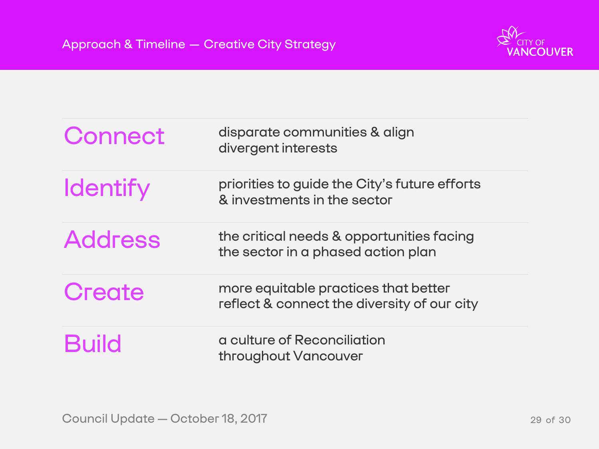| Connect         | disparate communities & align<br>divergent interests                           |
|-----------------|--------------------------------------------------------------------------------|
| <b>Identify</b> | priorities to guide the City's future eff<br>& investments in the sector       |
| <b>Address</b>  | the critical needs & opportunities fac<br>the sector in a phased action plan   |
| Create          | more equitable practices that better<br>reflect & connect the diversity of our |
| <b>Build</b>    | a culture of Reconciliation<br>throughout Vancouver                            |

Council Update — October 18, 2017 29 and 20 and 29 of 30



### k align

# I<mark>y's future efforts:</mark><br>tor

### **Drtunities facing** ction plan

# ersity of our city